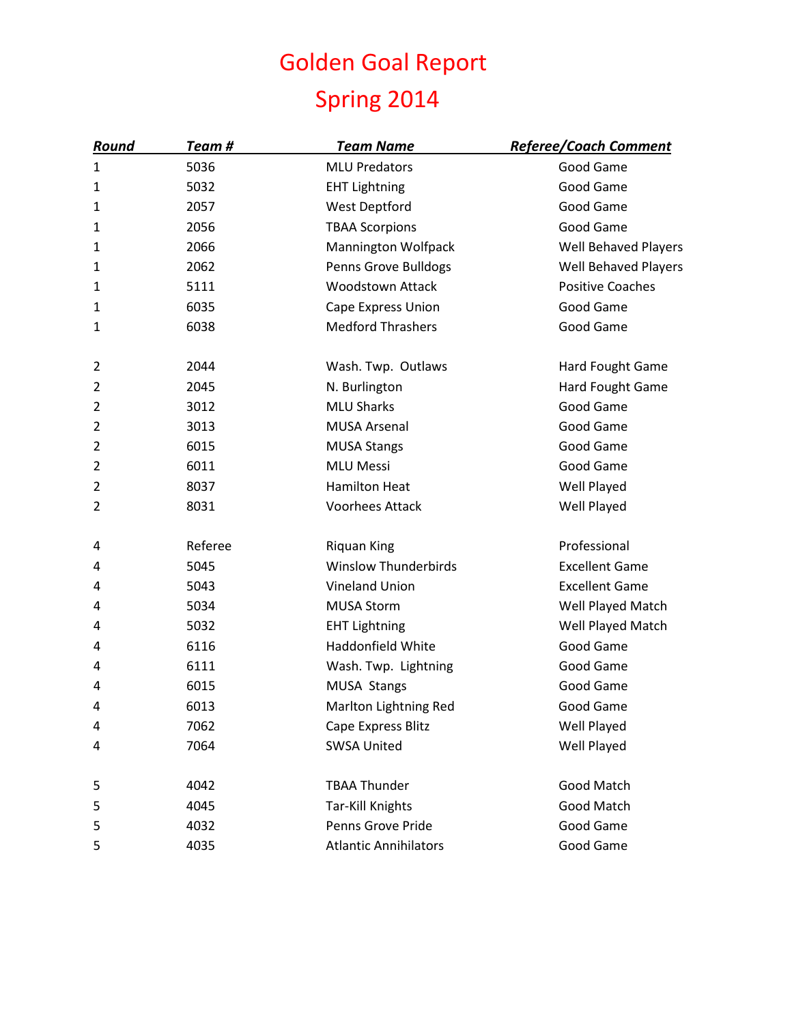## Golden Goal Report Spring 2014

| <u>Round</u>   | Team #  | <u>Team Name</u>             | <u>Referee/Coach Comment</u> |
|----------------|---------|------------------------------|------------------------------|
| 1              | 5036    | <b>MLU Predators</b>         | Good Game                    |
| 1              | 5032    | <b>EHT Lightning</b>         | Good Game                    |
| 1              | 2057    | West Deptford                | Good Game                    |
| 1              | 2056    | <b>TBAA Scorpions</b>        | Good Game                    |
| $\mathbf{1}$   | 2066    | Mannington Wolfpack          | <b>Well Behaved Players</b>  |
| 1              | 2062    | Penns Grove Bulldogs         | <b>Well Behaved Players</b>  |
| 1              | 5111    | <b>Woodstown Attack</b>      | <b>Positive Coaches</b>      |
| $\mathbf{1}$   | 6035    | Cape Express Union           | Good Game                    |
| 1              | 6038    | <b>Medford Thrashers</b>     | Good Game                    |
| $\overline{2}$ | 2044    | Wash. Twp. Outlaws           | Hard Fought Game             |
| $\overline{2}$ | 2045    | N. Burlington                | Hard Fought Game             |
| 2              | 3012    | <b>MLU Sharks</b>            | Good Game                    |
| 2              | 3013    | <b>MUSA Arsenal</b>          | Good Game                    |
| 2              | 6015    | <b>MUSA Stangs</b>           | Good Game                    |
| 2              | 6011    | <b>MLU Messi</b>             | Good Game                    |
| $\overline{2}$ | 8037    | <b>Hamilton Heat</b>         | Well Played                  |
| $\overline{2}$ | 8031    | <b>Voorhees Attack</b>       | Well Played                  |
| 4              | Referee | <b>Riquan King</b>           | Professional                 |
| 4              | 5045    | <b>Winslow Thunderbirds</b>  | <b>Excellent Game</b>        |
| 4              | 5043    | <b>Vineland Union</b>        | <b>Excellent Game</b>        |
| 4              | 5034    | <b>MUSA Storm</b>            | Well Played Match            |
| 4              | 5032    | <b>EHT Lightning</b>         | Well Played Match            |
| 4              | 6116    | Haddonfield White            | Good Game                    |
| 4              | 6111    | Wash. Twp. Lightning         | Good Game                    |
| 4              | 6015    | MUSA Stangs                  | Good Game                    |
| 4              | 6013    | Marlton Lightning Red        | Good Game                    |
| 4              | 7062    | Cape Express Blitz           | Well Played                  |
| 4              | 7064    | <b>SWSA United</b>           | Well Played                  |
| 5              | 4042    | <b>TBAA Thunder</b>          | Good Match                   |
| 5              | 4045    | <b>Tar-Kill Knights</b>      | Good Match                   |
| 5              | 4032    | Penns Grove Pride            | Good Game                    |
| 5              | 4035    | <b>Atlantic Annihilators</b> | Good Game                    |